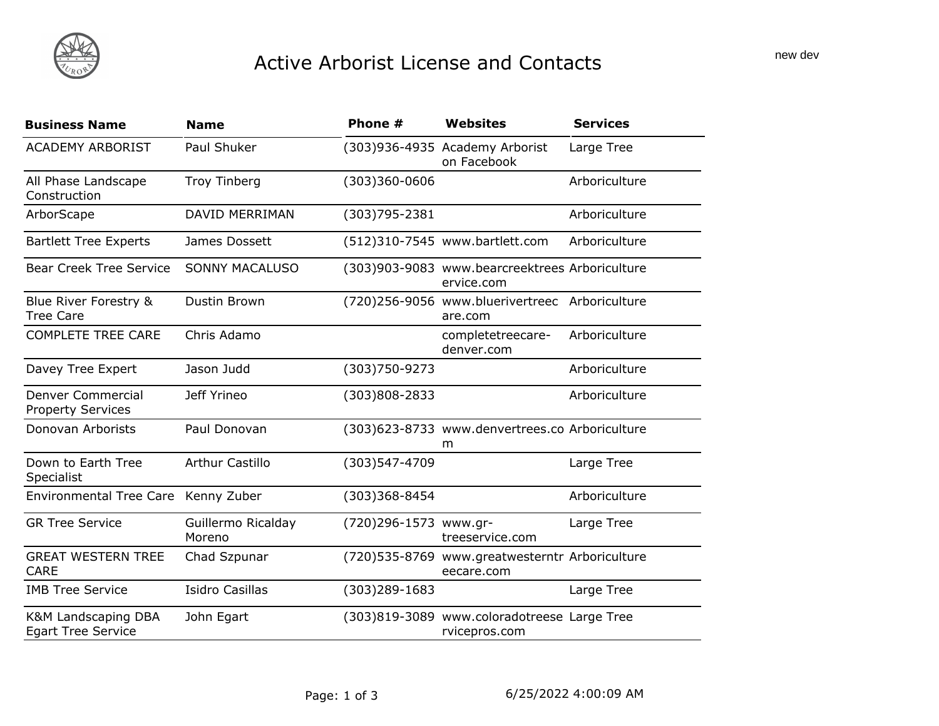## Active Arborist License and Contacts

| <b>Business Name</b>                                 | <b>Name</b>                  | Phone #               | <b>Websites</b>                                               | <b>Services</b> |
|------------------------------------------------------|------------------------------|-----------------------|---------------------------------------------------------------|-----------------|
| <b>ACADEMY ARBORIST</b>                              | Paul Shuker                  |                       | (303)936-4935 Academy Arborist<br>on Facebook                 | Large Tree      |
| All Phase Landscape<br>Construction                  | <b>Troy Tinberg</b>          | $(303)360 - 0606$     |                                                               | Arboriculture   |
| ArborScape                                           | <b>DAVID MERRIMAN</b>        | (303) 795 - 2381      |                                                               | Arboriculture   |
| <b>Bartlett Tree Experts</b>                         | James Dossett                |                       | (512)310-7545 www.bartlett.com                                | Arboriculture   |
| <b>Bear Creek Tree Service</b>                       | <b>SONNY MACALUSO</b>        |                       | (303)903-9083 www.bearcreektrees Arboriculture<br>ervice.com  |                 |
| Blue River Forestry &<br><b>Tree Care</b>            | Dustin Brown                 |                       | (720)256-9056 www.bluerivertreec Arboriculture<br>are.com     |                 |
| <b>COMPLETE TREE CARE</b>                            | Chris Adamo                  |                       | completetreecare-<br>denver.com                               | Arboriculture   |
| Davey Tree Expert                                    | Jason Judd                   | (303)750-9273         |                                                               | Arboriculture   |
| <b>Denver Commercial</b><br><b>Property Services</b> | Jeff Yrineo                  | (303)808-2833         |                                                               | Arboriculture   |
| Donovan Arborists                                    | Paul Donovan                 |                       | (303)623-8733 www.denvertrees.co Arboriculture<br>m           |                 |
| Down to Earth Tree<br>Specialist                     | <b>Arthur Castillo</b>       | (303)547-4709         |                                                               | Large Tree      |
| <b>Environmental Tree Care</b>                       | Kenny Zuber                  | (303)368-8454         |                                                               | Arboriculture   |
| <b>GR Tree Service</b>                               | Guillermo Ricalday<br>Moreno | (720)296-1573 www.gr- | treeservice.com                                               | Large Tree      |
| <b>GREAT WESTERN TREE</b><br><b>CARE</b>             | Chad Szpunar                 |                       | (720) 535-8769 www.greatwesterntr Arboriculture<br>eecare.com |                 |
| <b>IMB Tree Service</b>                              | <b>Isidro Casillas</b>       | $(303)289 - 1683$     |                                                               | Large Tree      |
| K&M Landscaping DBA<br><b>Egart Tree Service</b>     | John Egart                   |                       | (303)819-3089 www.coloradotreese Large Tree<br>rvicepros.com  |                 |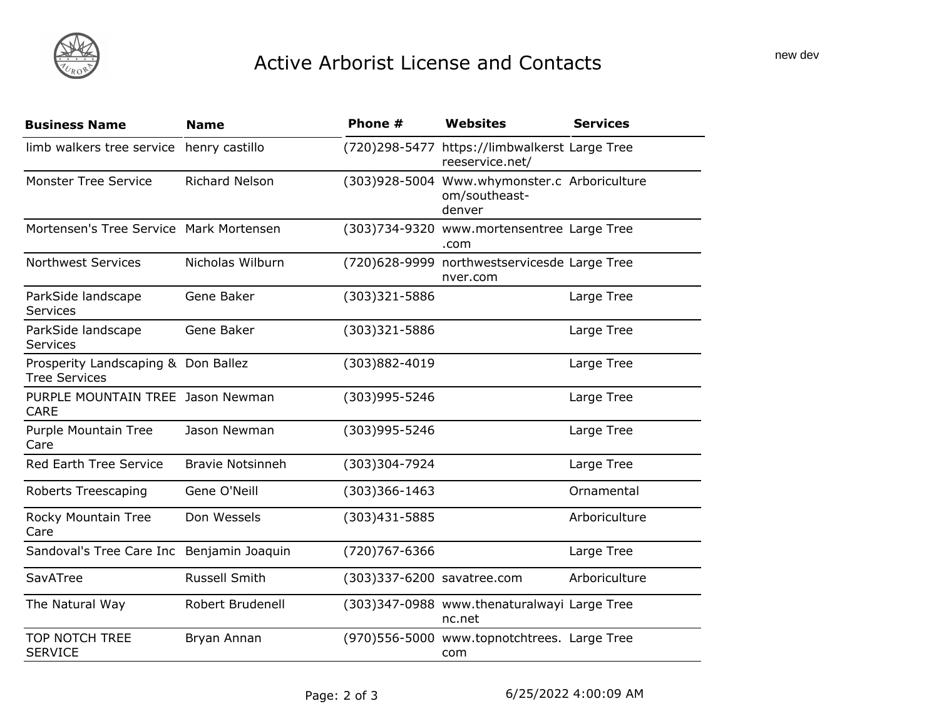## Active Arborist License and Contacts

| <b>Business Name</b>                                        | Name                    | Phone #                    | <b>Websites</b>                                                         | <b>Services</b> |
|-------------------------------------------------------------|-------------------------|----------------------------|-------------------------------------------------------------------------|-----------------|
| limb walkers tree service                                   | henry castillo          |                            | (720)298-5477 https://limbwalkerst Large Tree<br>reeservice.net/        |                 |
| <b>Monster Tree Service</b>                                 | <b>Richard Nelson</b>   |                            | (303)928-5004 Www.whymonster.c Arboriculture<br>om/southeast-<br>denver |                 |
| Mortensen's Tree Service Mark Mortensen                     |                         |                            | (303)734-9320 www.mortensentree Large Tree<br>.com                      |                 |
| <b>Northwest Services</b>                                   | Nicholas Wilburn        |                            | (720)628-9999 northwestservicesde Large Tree<br>nver.com                |                 |
| ParkSide landscape<br>Services                              | Gene Baker              | $(303)321 - 5886$          |                                                                         | Large Tree      |
| ParkSide landscape<br>Services                              | Gene Baker              | (303)321-5886              |                                                                         | Large Tree      |
| Prosperity Landscaping & Don Ballez<br><b>Tree Services</b> |                         | (303)882-4019              |                                                                         | Large Tree      |
| PURPLE MOUNTAIN TREE Jason Newman<br><b>CARE</b>            |                         | (303)995-5246              |                                                                         | Large Tree      |
| Purple Mountain Tree<br>Care                                | Jason Newman            | (303)995-5246              |                                                                         | Large Tree      |
| <b>Red Earth Tree Service</b>                               | <b>Bravie Notsinneh</b> | (303)304-7924              |                                                                         | Large Tree      |
| <b>Roberts Treescaping</b>                                  | Gene O'Neill            | $(303)366 - 1463$          |                                                                         | Ornamental      |
| Rocky Mountain Tree<br>Care                                 | Don Wessels             | $(303)431 - 5885$          |                                                                         | Arboriculture   |
| Sandoval's Tree Care Inc Benjamin Joaquin                   |                         | (720) 767-6366             |                                                                         | Large Tree      |
| SavATree                                                    | <b>Russell Smith</b>    | (303)337-6200 savatree.com |                                                                         | Arboriculture   |
| The Natural Way                                             | Robert Brudenell        |                            | (303)347-0988 www.thenaturalwayi Large Tree<br>nc.net                   |                 |
| <b>TOP NOTCH TREE</b><br><b>SERVICE</b>                     | Bryan Annan             |                            | (970)556-5000 www.topnotchtrees. Large Tree<br>com                      |                 |